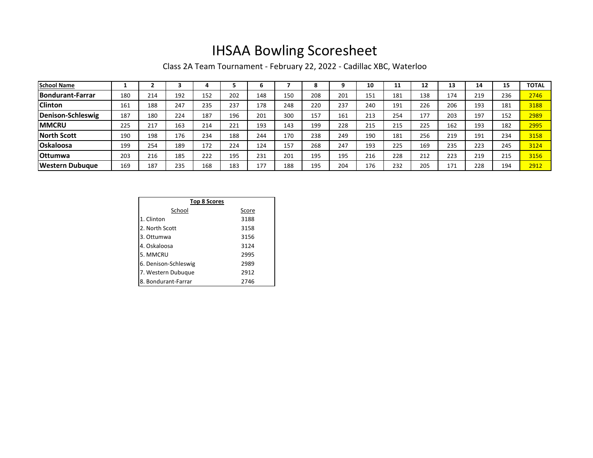## IHSAA Bowling Scoresheet

Class 2A Team Tournament - February 22, 2022 - Cadillac XBC, Waterloo

| <b>School Name</b>      |     |     |     |     |     | b   |     | 8   |     | 10  | 11  | 12  | 13  | 14  | 15  | <b>TOTAL</b> |
|-------------------------|-----|-----|-----|-----|-----|-----|-----|-----|-----|-----|-----|-----|-----|-----|-----|--------------|
| <b>Bondurant-Farrar</b> | 180 | 214 | 192 | 152 | 202 | 148 | 150 | 208 | 201 | 151 | 181 | 138 | 174 | 219 | 236 | 2746         |
| <b>Clinton</b>          | 161 | 188 | 247 | 235 | 237 | 178 | 248 | 220 | 237 | 240 | 191 | 226 | 206 | 193 | 181 | 3188         |
| Denison-Schleswig       | 187 | 180 | 224 | 187 | 196 | 201 | 300 | 157 | 161 | 213 | 254 | 177 | 203 | 197 | 152 | 2989         |
| <b>IMMCRU</b>           | 225 | 217 | 163 | 214 | 221 | 193 | 143 | 199 | 228 | 215 | 215 | 225 | 162 | 193 | 182 | 2995         |
| <b>North Scott</b>      | 190 | 198 | 176 | 234 | 188 | 244 | 170 | 238 | 249 | 190 | 181 | 256 | 219 | 191 | 234 | 3158         |
| <b>Oskaloosa</b>        | 199 | 254 | 189 | 172 | 224 | 124 | 157 | 268 | 247 | 193 | 225 | 169 | 235 | 223 | 245 | 3124         |
| <b>Ottumwa</b>          | 203 | 216 | 185 | 222 | 195 | 231 | 201 | 195 | 195 | 216 | 228 | 212 | 223 | 219 | 215 | 3156         |
| lWestern Dubuaue        | 169 | 187 | 235 | 168 | 183 | 177 | 188 | 195 | 204 | 176 | 232 | 205 | 171 | 228 | 194 | 2912         |

| <b>Top 8 Scores</b>  |       |  |  |  |  |  |  |
|----------------------|-------|--|--|--|--|--|--|
| School               | Score |  |  |  |  |  |  |
| 1. Clinton           | 3188  |  |  |  |  |  |  |
| 2. North Scott       | 3158  |  |  |  |  |  |  |
| 3. Ottumwa           | 3156  |  |  |  |  |  |  |
| 4. Oskaloosa         | 3124  |  |  |  |  |  |  |
| 5. MMCRU             | 2995  |  |  |  |  |  |  |
| 6. Denison-Schleswig | 2989  |  |  |  |  |  |  |
| 7. Western Dubuque   | 2912  |  |  |  |  |  |  |
| 8. Bondurant-Farrar  | 2746  |  |  |  |  |  |  |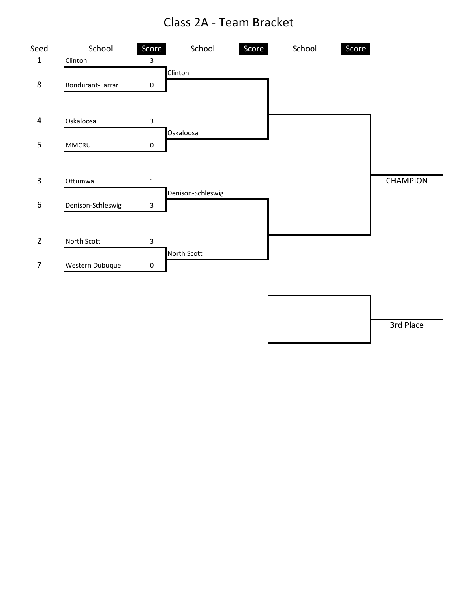## Class 2A - Team Bracket



3rd Place